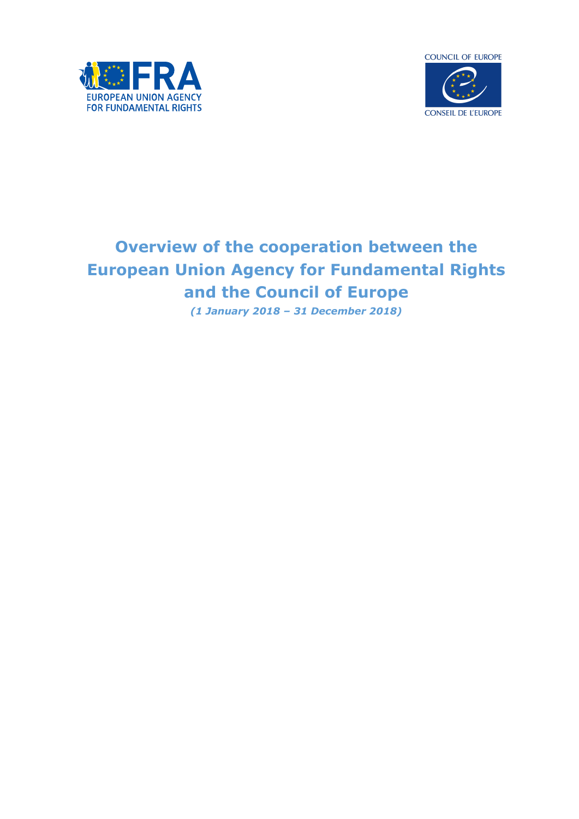



# **Overview of the cooperation between the European Union Agency for Fundamental Rights and the Council of Europe**

*(1 January 2018 – 31 December 2018)*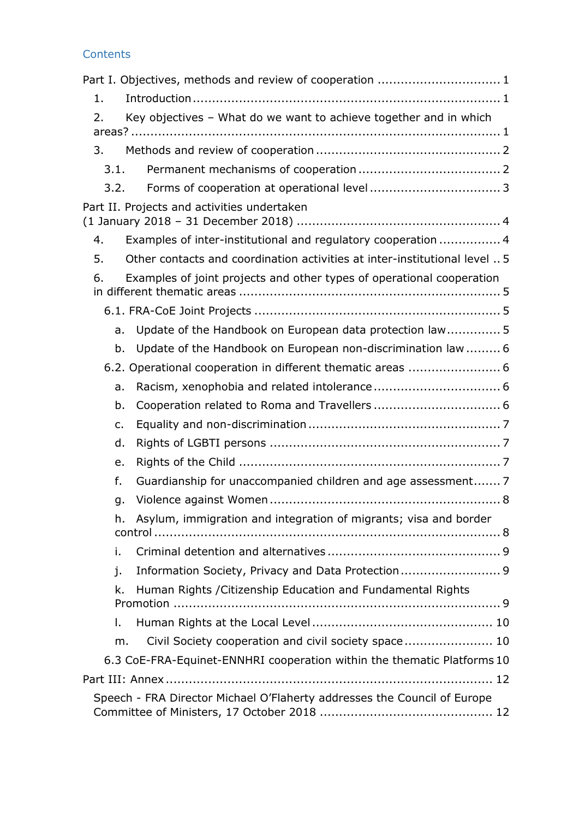| Contents |  |  |
|----------|--|--|
|          |  |  |
|          |  |  |

| Part I. Objectives, methods and review of cooperation  1                         |
|----------------------------------------------------------------------------------|
| 1.                                                                               |
| Key objectives - What do we want to achieve together and in which<br>2.          |
| 3.                                                                               |
| 3.1.                                                                             |
| 3.2.                                                                             |
| Part II. Projects and activities undertaken                                      |
| Examples of inter-institutional and regulatory cooperation  4<br>4.              |
| Other contacts and coordination activities at inter-institutional level  5<br>5. |
| Examples of joint projects and other types of operational cooperation<br>6.      |
|                                                                                  |
| Update of the Handbook on European data protection law 5<br>a.                   |
| Update of the Handbook on European non-discrimination law  6<br>b.               |
| 6.2. Operational cooperation in different thematic areas  6                      |
| a.                                                                               |
| b.                                                                               |
| c.                                                                               |
| d.                                                                               |
| e.                                                                               |
| f.<br>Guardianship for unaccompanied children and age assessment 7               |
| g.                                                                               |
| Asylum, immigration and integration of migrants; visa and border<br>h.           |
| i.                                                                               |
| Information Society, Privacy and Data Protection 9<br>j.                         |
| Human Rights / Citizenship Education and Fundamental Rights<br>k.                |
| I.                                                                               |
| Civil Society cooperation and civil society space 10<br>m.                       |
| 6.3 CoE-FRA-Equinet-ENNHRI cooperation within the thematic Platforms 10          |
|                                                                                  |
| Speech - FRA Director Michael O'Flaherty addresses the Council of Europe         |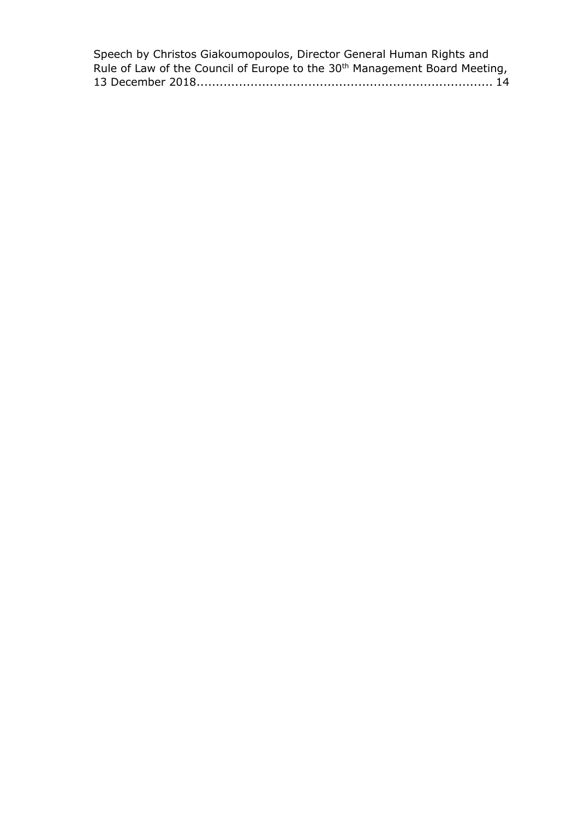| Speech by Christos Giakoumopoulos, Director General Human Rights and                   |
|----------------------------------------------------------------------------------------|
| Rule of Law of the Council of Europe to the 30 <sup>th</sup> Management Board Meeting, |
|                                                                                        |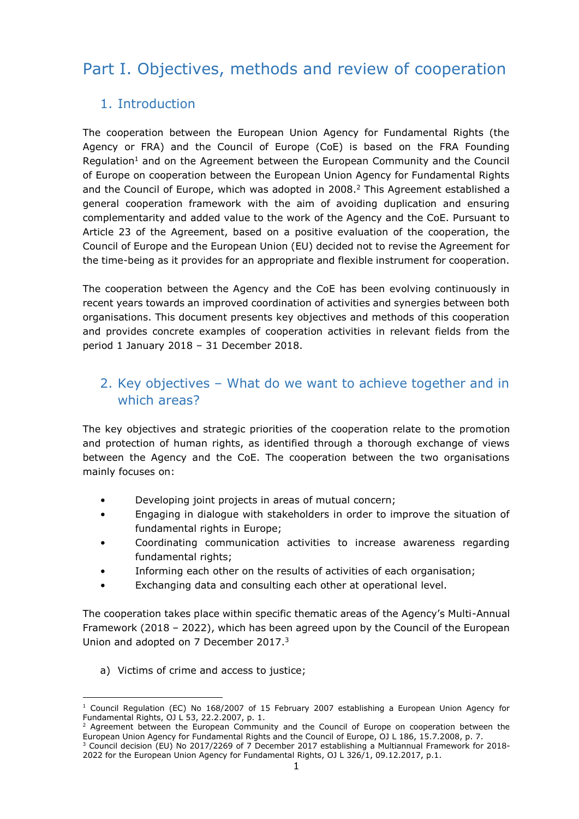## <span id="page-3-0"></span>Part I. Objectives, methods and review of cooperation

## <span id="page-3-1"></span>1. Introduction

The cooperation between the European Union Agency for Fundamental Rights (the Agency or FRA) and the Council of Europe (CoE) is based on the FRA Founding Regulation<sup>1</sup> and on the Agreement between the European Community and the Council of Europe on cooperation between the European Union Agency for Fundamental Rights and the Council of Europe, which was adopted in 2008.<sup>2</sup> This Agreement established a general cooperation framework with the aim of avoiding duplication and ensuring complementarity and added value to the work of the Agency and the CoE. Pursuant to Article 23 of the Agreement, based on a positive evaluation of the cooperation, the Council of Europe and the European Union (EU) decided not to revise the Agreement for the time-being as it provides for an appropriate and flexible instrument for cooperation.

The cooperation between the Agency and the CoE has been evolving continuously in recent years towards an improved coordination of activities and synergies between both organisations. This document presents key objectives and methods of this cooperation and provides concrete examples of cooperation activities in relevant fields from the period 1 January 2018 – 31 December 2018.

## <span id="page-3-2"></span>2. Key objectives – What do we want to achieve together and in which areas?

The key objectives and strategic priorities of the cooperation relate to the promotion and protection of human rights, as identified through a thorough exchange of views between the Agency and the CoE. The cooperation between the two organisations mainly focuses on:

- Developing joint projects in areas of mutual concern;
- Engaging in dialogue with stakeholders in order to improve the situation of fundamental rights in Europe;
- Coordinating communication activities to increase awareness regarding fundamental rights;
- Informing each other on the results of activities of each organisation;
- Exchanging data and consulting each other at operational level.

The cooperation takes place within specific thematic areas of the Agency's Multi-Annual Framework (2018 – 2022), which has been agreed upon by the Council of the European Union and adopted on 7 December 2017.<sup>3</sup>

a) Victims of crime and access to justice;

<sup>1</sup>  $1$  Council Regulation (EC) No 168/2007 of 15 February 2007 establishing a European Union Agency for Fundamental Rights, OJ L 53, 22.2.2007, p. 1.

 $2$  Agreement between the European Community and the Council of Europe on cooperation between the European Union Agency for Fundamental Rights and the Council of Europe, OJ L 186, 15.7.2008, p. 7. <sup>3</sup> Council decision (EU) No 2017/2269 of 7 December 2017 establishing a Multiannual Framework for 2018-

<sup>2022</sup> for the European Union Agency for Fundamental Rights, OJ L 326/1, 09.12.2017, p.1.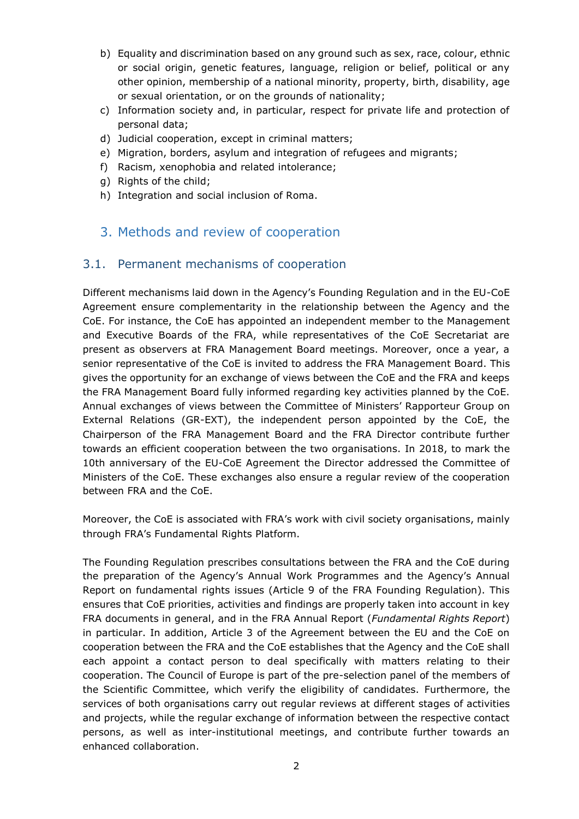- b) Equality and discrimination based on any ground such as sex, race, colour, ethnic or social origin, genetic features, language, religion or belief, political or any other opinion, membership of a national minority, property, birth, disability, age or sexual orientation, or on the grounds of nationality;
- c) Information society and, in particular, respect for private life and protection of personal data;
- d) Judicial cooperation, except in criminal matters;
- e) Migration, borders, asylum and integration of refugees and migrants;
- f) Racism, xenophobia and related intolerance;
- g) Rights of the child;
- h) Integration and social inclusion of Roma.
- <span id="page-4-0"></span>3. Methods and review of cooperation

#### <span id="page-4-1"></span>3.1. Permanent mechanisms of cooperation

Different mechanisms laid down in the Agency's Founding Regulation and in the EU-CoE Agreement ensure complementarity in the relationship between the Agency and the CoE. For instance, the CoE has appointed an independent member to the Management and Executive Boards of the FRA, while representatives of the CoE Secretariat are present as observers at FRA Management Board meetings. Moreover, once a year, a senior representative of the CoE is invited to address the FRA Management Board. This gives the opportunity for an exchange of views between the CoE and the FRA and keeps the FRA Management Board fully informed regarding key activities planned by the CoE. Annual exchanges of views between the Committee of Ministers' Rapporteur Group on External Relations (GR-EXT), the independent person appointed by the CoE, the Chairperson of the FRA Management Board and the FRA Director contribute further towards an efficient cooperation between the two organisations. In 2018, to mark the 10th anniversary of the EU-CoE Agreement the Director addressed the Committee of Ministers of the CoE. These exchanges also ensure a regular review of the cooperation between FRA and the CoE.

Moreover, the CoE is associated with FRA's work with civil society organisations, mainly through FRA's Fundamental Rights Platform.

The Founding Regulation prescribes consultations between the FRA and the CoE during the preparation of the Agency's Annual Work Programmes and the Agency's Annual Report on fundamental rights issues (Article 9 of the FRA Founding Regulation). This ensures that CoE priorities, activities and findings are properly taken into account in key FRA documents in general, and in the FRA Annual Report (*Fundamental Rights Report*) in particular. In addition, Article 3 of the Agreement between the EU and the CoE on cooperation between the FRA and the CoE establishes that the Agency and the CoE shall each appoint a contact person to deal specifically with matters relating to their cooperation. The Council of Europe is part of the pre-selection panel of the members of the Scientific Committee, which verify the eligibility of candidates. Furthermore, the services of both organisations carry out regular reviews at different stages of activities and projects, while the regular exchange of information between the respective contact persons, as well as inter-institutional meetings, and contribute further towards an enhanced collaboration.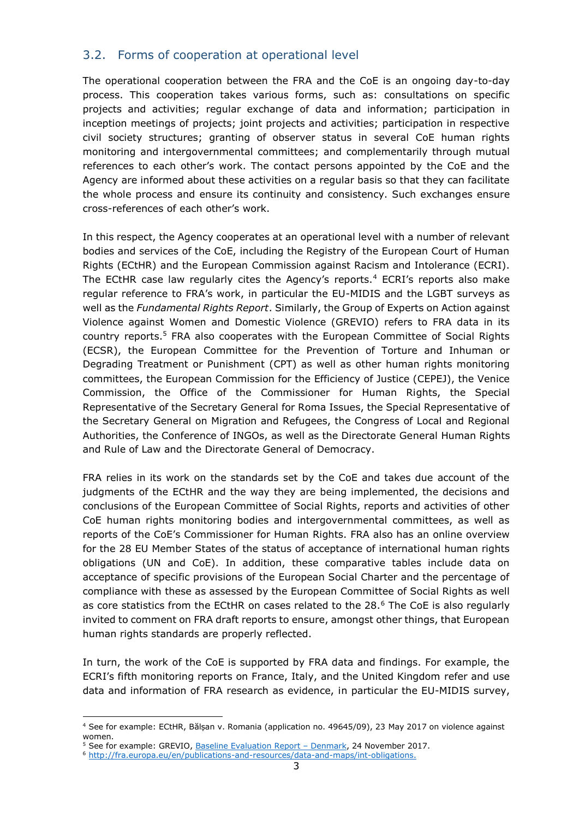### <span id="page-5-0"></span>3.2. Forms of cooperation at operational level

The operational cooperation between the FRA and the CoE is an ongoing day-to-day process. This cooperation takes various forms, such as: consultations on specific projects and activities; regular exchange of data and information; participation in inception meetings of projects; joint projects and activities; participation in respective civil society structures; granting of observer status in several CoE human rights monitoring and intergovernmental committees; and complementarily through mutual references to each other's work. The contact persons appointed by the CoE and the Agency are informed about these activities on a regular basis so that they can facilitate the whole process and ensure its continuity and consistency. Such exchanges ensure cross-references of each other's work.

In this respect, the Agency cooperates at an operational level with a number of relevant bodies and services of the CoE, including the Registry of the European Court of Human Rights (ECtHR) and the European Commission against Racism and Intolerance (ECRI). The ECtHR case law regularly cites the Agency's reports.<sup>4</sup> ECRI's reports also make regular reference to FRA's work, in particular the EU-MIDIS and the LGBT surveys as well as the *Fundamental Rights Report*. Similarly, the Group of Experts on Action against Violence against Women and Domestic Violence (GREVIO) refers to FRA data in its country reports.<sup>5</sup> FRA also cooperates with the European Committee of Social Rights (ECSR), the European Committee for the Prevention of Torture and Inhuman or Degrading Treatment or Punishment (CPT) as well as other human rights monitoring committees, the European Commission for the Efficiency of Justice (CEPEJ), the Venice Commission, the Office of the Commissioner for Human Rights, the Special Representative of the Secretary General for Roma Issues, the Special Representative of the Secretary General on Migration and Refugees, the Congress of Local and Regional Authorities, the Conference of INGOs, as well as the Directorate General Human Rights and Rule of Law and the Directorate General of Democracy.

FRA relies in its work on the standards set by the CoE and takes due account of the judgments of the ECtHR and the way they are being implemented, the decisions and conclusions of the European Committee of Social Rights, reports and activities of other CoE human rights monitoring bodies and intergovernmental committees, as well as reports of the CoE's Commissioner for Human Rights. FRA also has an online overview for the 28 EU Member States of the status of acceptance of international human rights obligations (UN and CoE). In addition, these comparative tables include data on acceptance of specific provisions of the European Social Charter and the percentage of compliance with these as assessed by the European Committee of Social Rights as well as core statistics from the ECtHR on cases related to the  $28.6$  The CoE is also regularly invited to comment on FRA draft reports to ensure, amongst other things, that European human rights standards are properly reflected.

In turn, the work of the CoE is supported by FRA data and findings. For example, the ECRI's fifth monitoring reports on France, Italy, and the United Kingdom refer and use data and information of FRA research as evidence, in particular the EU-MIDIS survey,

**.** 

<sup>4</sup> See for example: ECtHR, Bălșan v. Romania (application no. 49645/09), 23 May 2017 on violence against women.

<sup>&</sup>lt;sup>5</sup> See for example: GREVIO, [Baseline Evaluation Report](https://rm.coe.int/grevio-first-baseline-report-on-denmark/16807688ae) – Denmark, 24 November 2017.

<sup>6</sup> [http://fra.europa.eu/en/publications-and-resources/data-and-maps/int-obligations.](http://fra.europa.eu/en/publications-and-resources/data-and-maps/int-obligations)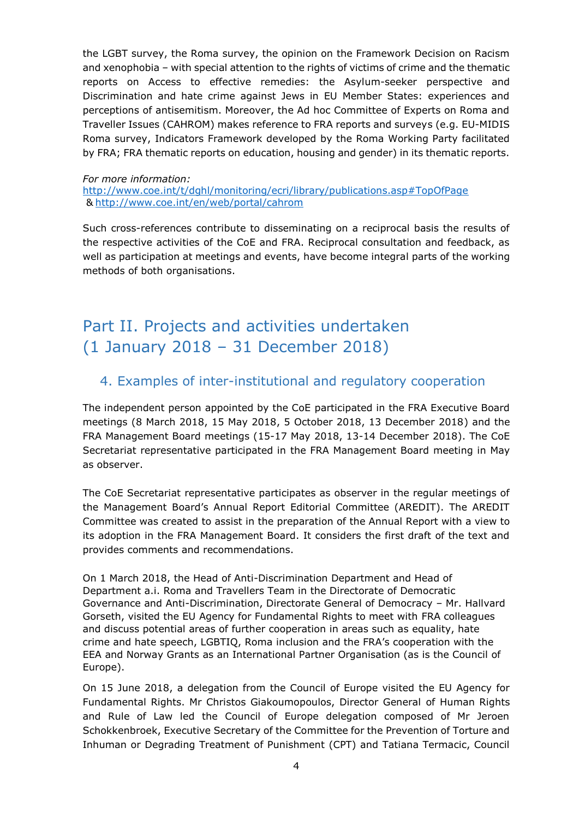the LGBT survey, the Roma survey, the opinion on the Framework Decision on Racism and xenophobia – with special attention to the rights of victims of crime and the thematic reports on Access to effective remedies: the Asylum-seeker perspective and Discrimination and hate crime against Jews in EU Member States: experiences and perceptions of antisemitism. Moreover, the Ad hoc Committee of Experts on Roma and Traveller Issues (CAHROM) makes reference to FRA reports and surveys (e.g. EU-MIDIS Roma survey, Indicators Framework developed by the Roma Working Party facilitated by FRA; FRA thematic reports on education, housing and gender) in its thematic reports.

#### *For more information:* <http://www.coe.int/t/dghl/monitoring/ecri/library/publications.asp#TopOfPage> & <http://www.coe.int/en/web/portal/cahrom>

Such cross-references contribute to disseminating on a reciprocal basis the results of the respective activities of the CoE and FRA. Reciprocal consultation and feedback, as well as participation at meetings and events, have become integral parts of the working methods of both organisations.

## <span id="page-6-0"></span>Part II. Projects and activities undertaken (1 January 2018 – 31 December 2018)

## <span id="page-6-1"></span>4. Examples of inter-institutional and regulatory cooperation

The independent person appointed by the CoE participated in the FRA Executive Board meetings (8 March 2018, 15 May 2018, 5 October 2018, 13 December 2018) and the FRA Management Board meetings (15-17 May 2018, 13-14 December 2018). The CoE Secretariat representative participated in the FRA Management Board meeting in May as observer.

The CoE Secretariat representative participates as observer in the regular meetings of the Management Board's Annual Report Editorial Committee (AREDIT). The AREDIT Committee was created to assist in the preparation of the Annual Report with a view to its adoption in the FRA Management Board. It considers the first draft of the text and provides comments and recommendations.

On 1 March 2018, the Head of Anti-Discrimination Department and Head of Department a.i. Roma and Travellers Team in the Directorate of Democratic Governance and Anti-Discrimination, Directorate General of Democracy – Mr. Hallvard Gorseth, visited the EU Agency for Fundamental Rights to meet with FRA colleagues and discuss potential areas of further cooperation in areas such as equality, hate crime and hate speech, LGBTIQ, Roma inclusion and the FRA's cooperation with the EEA and Norway Grants as an International Partner Organisation (as is the Council of Europe).

On 15 June 2018, a delegation from the Council of Europe visited the EU Agency for Fundamental Rights. Mr Christos Giakoumopoulos, Director General of Human Rights and Rule of Law led the Council of Europe delegation composed of Mr Jeroen Schokkenbroek, Executive Secretary of the Committee for the Prevention of Torture and Inhuman or Degrading Treatment of Punishment (CPT) and Tatiana Termacic, Council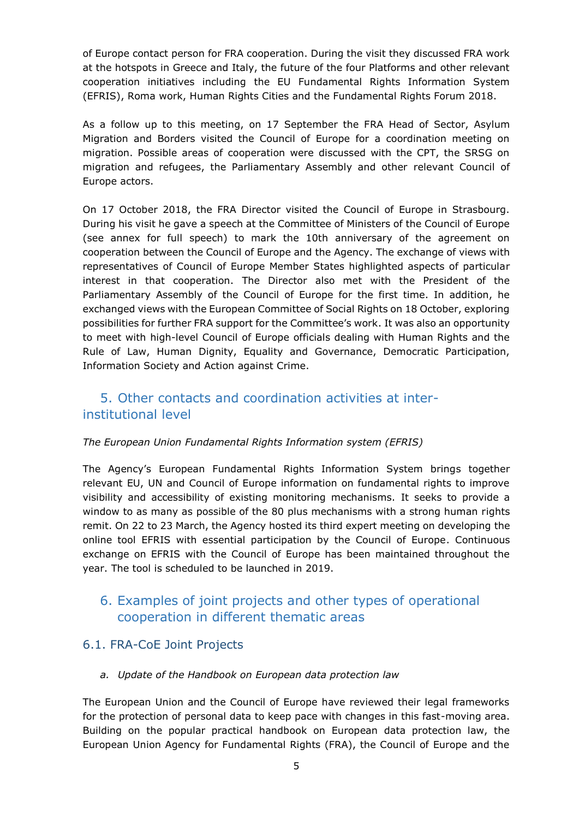of Europe contact person for FRA cooperation. During the visit they discussed FRA work at the hotspots in Greece and Italy, the future of the four Platforms and other relevant cooperation initiatives including the EU Fundamental Rights Information System (EFRIS), Roma work, Human Rights Cities and the Fundamental Rights Forum 2018.

As a follow up to this meeting, on 17 September the FRA Head of Sector, Asylum Migration and Borders visited the Council of Europe for a coordination meeting on migration. Possible areas of cooperation were discussed with the CPT, the SRSG on migration and refugees, the Parliamentary Assembly and other relevant Council of Europe actors.

On 17 October 2018, the FRA Director visited the Council of Europe in Strasbourg. During his visit he gave a speech at the Committee of Ministers of the Council of Europe (see annex for full speech) to mark the 10th anniversary of the agreement on cooperation between the Council of Europe and the Agency. The exchange of views with representatives of Council of Europe Member States highlighted aspects of particular interest in that cooperation. The Director also met with the President of the Parliamentary Assembly of the Council of Europe for the first time. In addition, he exchanged views with the European Committee of Social Rights on 18 October, exploring possibilities for further FRA support for the Committee's work. It was also an opportunity to meet with high-level Council of Europe officials dealing with Human Rights and the Rule of Law, Human Dignity, Equality and Governance, Democratic Participation, Information Society and Action against Crime.

## <span id="page-7-0"></span>5. Other contacts and coordination activities at interinstitutional level

#### *The European Union Fundamental Rights Information system (EFRIS)*

The Agency's European Fundamental Rights Information System brings together relevant EU, UN and Council of Europe information on fundamental rights to improve visibility and accessibility of existing monitoring mechanisms. It seeks to provide a window to as many as possible of the 80 plus mechanisms with a strong human rights remit. On 22 to 23 March, the Agency hosted its third expert meeting on developing the online tool EFRIS with essential participation by the Council of Europe. Continuous exchange on EFRIS with the Council of Europe has been maintained throughout the year. The tool is scheduled to be launched in 2019.

## <span id="page-7-1"></span>6. Examples of joint projects and other types of operational cooperation in different thematic areas

### <span id="page-7-2"></span>6.1. FRA-CoE Joint Projects

<span id="page-7-3"></span>*a. Update of the Handbook on European data protection law*

The European Union and the Council of Europe have reviewed their legal frameworks for the protection of personal data to keep pace with changes in this fast-moving area. Building on the popular practical handbook on European data protection law, the European Union Agency for Fundamental Rights (FRA), the Council of Europe and the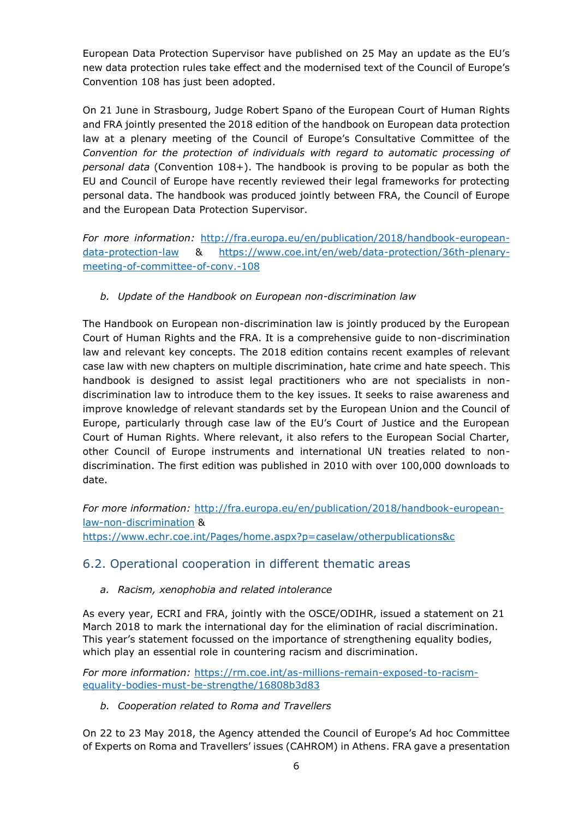European Data Protection Supervisor have published on 25 May an update as the EU's new data protection rules take effect and the modernised text of the Council of Europe's Convention 108 has just been adopted.

On 21 June in Strasbourg, Judge Robert Spano of the European Court of Human Rights and FRA jointly presented the 2018 edition of the handbook on European data protection law at a plenary meeting of the Council of Europe's Consultative Committee of the *Convention for the protection of individuals with regard to automatic processing of personal data* (Convention 108+). The handbook is proving to be popular as both the EU and Council of Europe have recently reviewed their legal frameworks for protecting personal data. The handbook was produced jointly between FRA, the Council of Europe and the European Data Protection Supervisor.

*For more information:* [http://fra.europa.eu/en/publication/2018/handbook-european](http://fra.europa.eu/en/publication/2018/handbook-european-data-protection-law)[data-protection-law](http://fra.europa.eu/en/publication/2018/handbook-european-data-protection-law) & [https://www.coe.int/en/web/data-protection/36th-plenary](https://www.coe.int/en/web/data-protection/36th-plenary-meeting-of-committee-of-conv.-108)[meeting-of-committee-of-conv.-108](https://www.coe.int/en/web/data-protection/36th-plenary-meeting-of-committee-of-conv.-108)

<span id="page-8-0"></span>*b. Update of the Handbook on European non-discrimination law*

The Handbook on European non-discrimination law is jointly produced by the European Court of Human Rights and the FRA. It is a comprehensive guide to non-discrimination law and relevant key concepts. The 2018 edition contains recent examples of relevant case law with new chapters on multiple discrimination, hate crime and hate speech. This handbook is designed to assist legal practitioners who are not specialists in nondiscrimination law to introduce them to the key issues. It seeks to raise awareness and improve knowledge of relevant standards set by the European Union and the Council of Europe, particularly through case law of the EU's Court of Justice and the European Court of Human Rights. Where relevant, it also refers to the European Social Charter, other Council of Europe instruments and international UN treaties related to nondiscrimination. The first edition was published in 2010 with over 100,000 downloads to date.

*For more information:* [http://fra.europa.eu/en/publication/2018/handbook-european](http://fra.europa.eu/en/publication/2018/handbook-european-law-non-discrimination)[law-non-discrimination](http://fra.europa.eu/en/publication/2018/handbook-european-law-non-discrimination) & <https://www.echr.coe.int/Pages/home.aspx?p=caselaw/otherpublications&c>

### <span id="page-8-1"></span>6.2. Operational cooperation in different thematic areas

<span id="page-8-2"></span>*a. Racism, xenophobia and related intolerance*

As every year, ECRI and FRA, jointly with the OSCE/ODIHR, issued a statement on 21 March 2018 to mark the international day for the elimination of racial discrimination. This year's statement focussed on the importance of strengthening equality bodies, which play an essential role in countering racism and discrimination.

*For more information:* [https://rm.coe.int/as-millions-remain-exposed-to-racism](https://rm.coe.int/as-millions-remain-exposed-to-racism-equality-bodies-must-be-strengthe/16808b3d83)[equality-bodies-must-be-strengthe/16808b3d83](https://rm.coe.int/as-millions-remain-exposed-to-racism-equality-bodies-must-be-strengthe/16808b3d83)

<span id="page-8-3"></span>*b. Cooperation related to Roma and Travellers*

On 22 to 23 May 2018, the Agency attended the Council of Europe's Ad hoc Committee of Experts on Roma and Travellers' issues (CAHROM) in Athens. FRA gave a presentation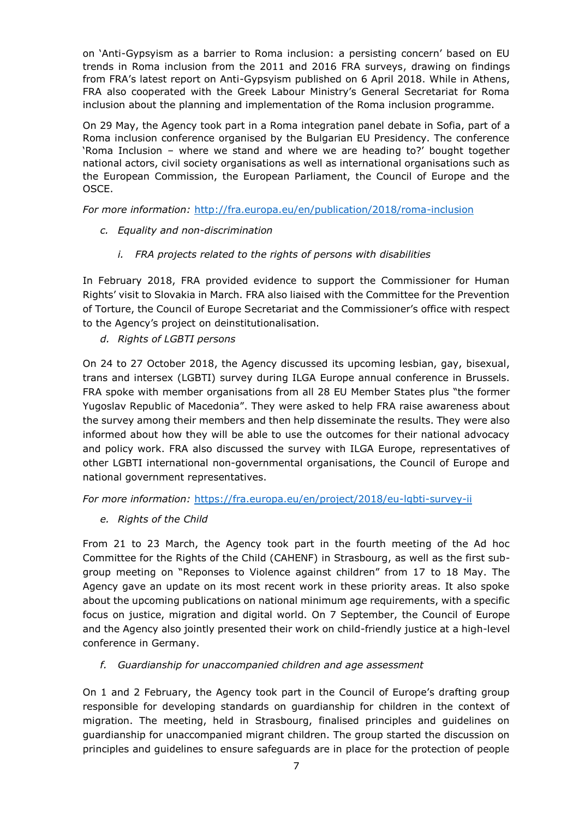on 'Anti-Gypsyism as a barrier to Roma inclusion: a persisting concern' based on EU trends in Roma inclusion from the 2011 and 2016 FRA surveys, drawing on findings from FRA's latest report on Anti-Gypsyism published on 6 April 2018. While in Athens, FRA also cooperated with the Greek Labour Ministry's General Secretariat for Roma inclusion about the planning and implementation of the Roma inclusion programme.

On 29 May, the Agency took part in a Roma integration panel debate in Sofia, part of a Roma inclusion conference organised by the Bulgarian EU Presidency. The conference 'Roma Inclusion – where we stand and where we are heading to?' bought together national actors, civil society organisations as well as international organisations such as the European Commission, the European Parliament, the Council of Europe and the OSCE.

*For more information:* <http://fra.europa.eu/en/publication/2018/roma-inclusion>

- <span id="page-9-0"></span>*c. Equality and non-discrimination*
	- *i. FRA projects related to the rights of persons with disabilities*

In February 2018, FRA provided evidence to support the Commissioner for Human Rights' visit to Slovakia in March. FRA also liaised with the Committee for the Prevention of Torture, the Council of Europe Secretariat and the Commissioner's office with respect to the Agency's project on deinstitutionalisation.

<span id="page-9-1"></span>*d. Rights of LGBTI persons*

On 24 to 27 October 2018, the Agency discussed its upcoming lesbian, gay, bisexual, trans and intersex (LGBTI) survey during ILGA Europe annual conference in Brussels. FRA spoke with member organisations from all 28 EU Member States plus "the former Yugoslav Republic of Macedonia". They were asked to help FRA raise awareness about the survey among their members and then help disseminate the results. They were also informed about how they will be able to use the outcomes for their national advocacy and policy work. FRA also discussed the survey with ILGA Europe, representatives of other LGBTI international non-governmental organisations, the Council of Europe and national government representatives.

*For more information:* <https://fra.europa.eu/en/project/2018/eu-lgbti-survey-ii>

<span id="page-9-2"></span>*e. Rights of the Child* 

From 21 to 23 March, the Agency took part in the fourth meeting of the Ad hoc Committee for the Rights of the Child (CAHENF) in Strasbourg, as well as the first subgroup meeting on "Reponses to Violence against children" from 17 to 18 May. The Agency gave an update on its most recent work in these priority areas. It also spoke about the upcoming publications on national minimum age requirements, with a specific focus on justice, migration and digital world. On 7 September, the Council of Europe and the Agency also jointly presented their work on child-friendly justice at a high-level conference in Germany.

<span id="page-9-3"></span>*f. Guardianship for unaccompanied children and age assessment*

On 1 and 2 February, the Agency took part in the Council of Europe's drafting group responsible for developing standards on guardianship for children in the context of migration. The meeting, held in Strasbourg, finalised principles and guidelines on guardianship for unaccompanied migrant children. The group started the discussion on principles and guidelines to ensure safeguards are in place for the protection of people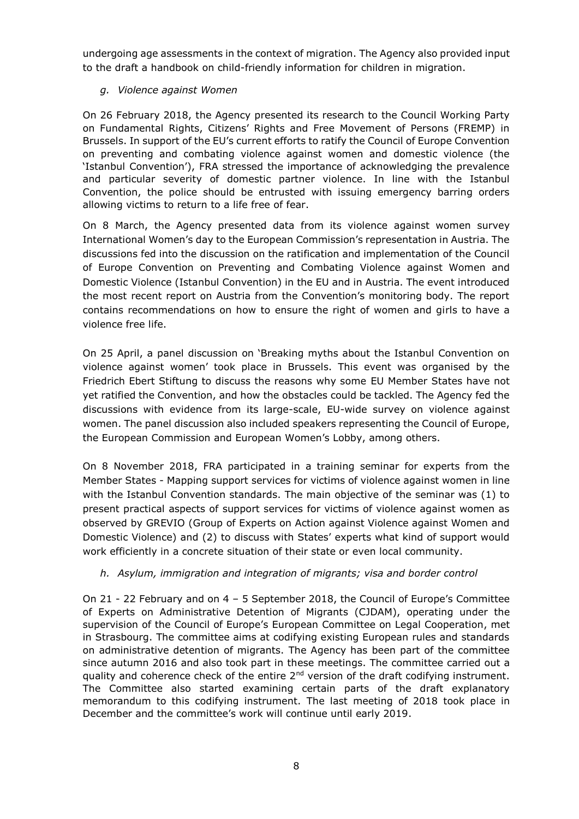undergoing age assessments in the context of migration. The Agency also provided input to the draft a handbook on child-friendly information for children in migration.

#### <span id="page-10-0"></span>*g. Violence against Women*

On 26 February 2018, the Agency presented its research to the Council Working Party on Fundamental Rights, Citizens' Rights and Free Movement of Persons (FREMP) in Brussels. In support of the EU's current efforts to ratify the Council of Europe Convention on preventing and combating violence against women and domestic violence (the 'Istanbul Convention'), FRA stressed the importance of acknowledging the prevalence and particular severity of domestic partner violence. In line with the Istanbul Convention, the police should be entrusted with issuing emergency barring orders allowing victims to return to a life free of fear.

On 8 March, the Agency presented data from its violence against women survey International Women's day to the European Commission's representation in Austria. The discussions fed into the discussion on the ratification and implementation of the Council of Europe Convention on Preventing and Combating Violence against Women and Domestic Violence (Istanbul Convention) in the EU and in Austria. The event introduced the most recent report on Austria from the Convention's monitoring body. The report contains recommendations on how to ensure the right of women and girls to have a violence free life.

On 25 April, a panel discussion on 'Breaking myths about the Istanbul Convention on violence against women' took place in Brussels. This event was organised by the Friedrich Ebert Stiftung to discuss the reasons why some EU Member States have not yet ratified the Convention, and how the obstacles could be tackled. The Agency fed the discussions with evidence from its large-scale, EU-wide survey on violence against women. The panel discussion also included speakers representing the Council of Europe, the European Commission and European Women's Lobby, among others.

On 8 November 2018, FRA participated in a training seminar for experts from the Member States - Mapping support services for victims of violence against women in line with the Istanbul Convention standards. The main objective of the seminar was (1) to present practical aspects of support services for victims of violence against women as observed by GREVIO (Group of Experts on Action against Violence against Women and Domestic Violence) and (2) to discuss with States' experts what kind of support would work efficiently in a concrete situation of their state or even local community.

#### <span id="page-10-1"></span>*h. Asylum, immigration and integration of migrants; visa and border control*

On 21 - 22 February and on 4 – 5 September 2018, the Council of Europe's Committee of Experts on Administrative Detention of Migrants (CJDAM), operating under the supervision of the Council of Europe's European Committee on Legal Cooperation, met in Strasbourg. The committee aims at codifying existing European rules and standards on administrative detention of migrants. The Agency has been part of the committee since autumn 2016 and also took part in these meetings. The committee carried out a quality and coherence check of the entire  $2<sup>nd</sup>$  version of the draft codifying instrument. The Committee also started examining certain parts of the draft explanatory memorandum to this codifying instrument. The last meeting of 2018 took place in December and the committee's work will continue until early 2019.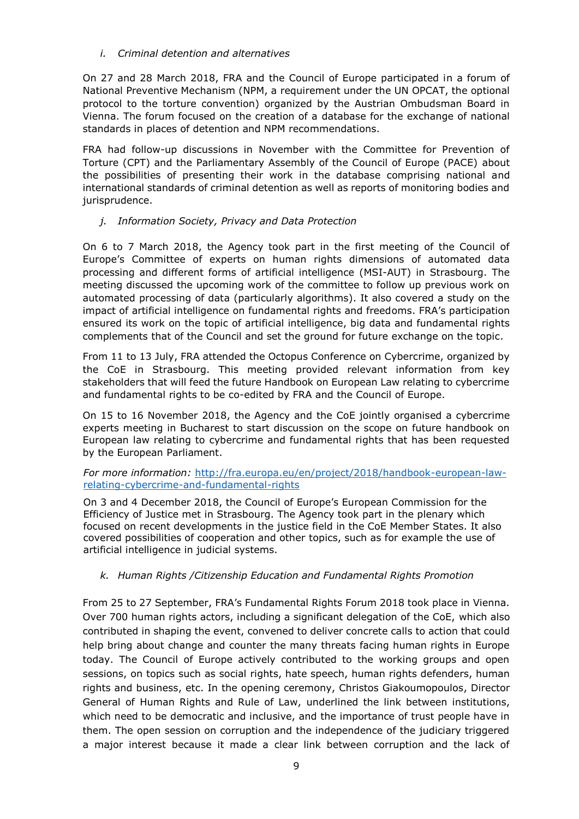<span id="page-11-0"></span>*i. Criminal detention and alternatives*

On 27 and 28 March 2018, FRA and the Council of Europe participated in a forum of National Preventive Mechanism (NPM, a requirement under the UN OPCAT, the optional protocol to the torture convention) organized by the Austrian Ombudsman Board in Vienna. The forum focused on the creation of a database for the exchange of national standards in places of detention and NPM recommendations.

FRA had follow-up discussions in November with the Committee for Prevention of Torture (CPT) and the Parliamentary Assembly of the Council of Europe (PACE) about the possibilities of presenting their work in the database comprising national and international standards of criminal detention as well as reports of monitoring bodies and jurisprudence.

#### <span id="page-11-1"></span>*j. Information Society, Privacy and Data Protection*

On 6 to 7 March 2018, the Agency took part in the first meeting of the Council of Europe's Committee of experts on human rights dimensions of automated data processing and different forms of artificial intelligence (MSI-AUT) in Strasbourg. The meeting discussed the upcoming work of the committee to follow up previous work on automated processing of data (particularly algorithms). It also covered a study on the impact of artificial intelligence on fundamental rights and freedoms. FRA's participation ensured its work on the topic of artificial intelligence, big data and fundamental rights complements that of the Council and set the ground for future exchange on the topic.

From 11 to 13 July, FRA attended the Octopus Conference on Cybercrime, organized by the CoE in Strasbourg. This meeting provided relevant information from key stakeholders that will feed the future Handbook on European Law relating to cybercrime and fundamental rights to be co-edited by FRA and the Council of Europe.

On 15 to 16 November 2018, the Agency and the CoE jointly organised a cybercrime experts meeting in Bucharest to start discussion on the scope on future handbook on European law relating to cybercrime and fundamental rights that has been requested by the European Parliament.

*For more information:* [http://fra.europa.eu/en/project/2018/handbook-european-law](http://fra.europa.eu/en/project/2018/handbook-european-law-relating-cybercrime-and-fundamental-rights)[relating-cybercrime-and-fundamental-rights](http://fra.europa.eu/en/project/2018/handbook-european-law-relating-cybercrime-and-fundamental-rights)

On 3 and 4 December 2018, the Council of Europe's European Commission for the Efficiency of Justice met in Strasbourg. The Agency took part in the plenary which focused on recent developments in the justice field in the CoE Member States. It also covered possibilities of cooperation and other topics, such as for example the use of artificial intelligence in judicial systems.

#### <span id="page-11-2"></span>*k. Human Rights /Citizenship Education and Fundamental Rights Promotion*

From 25 to 27 September, FRA's Fundamental Rights Forum 2018 took place in Vienna. Over 700 human rights actors, including a significant delegation of the CoE, which also contributed in shaping the event, convened to deliver concrete calls to action that could help bring about change and counter the many threats facing human rights in Europe today. The Council of Europe actively contributed to the working groups and open sessions, on topics such as social rights, hate speech, human rights defenders, human rights and business, etc. In the opening ceremony, Christos Giakoumopoulos, Director General of Human Rights and Rule of Law, underlined the link between institutions, which need to be democratic and inclusive, and the importance of trust people have in them. The open session on corruption and the independence of the judiciary triggered a major interest because it made a clear link between corruption and the lack of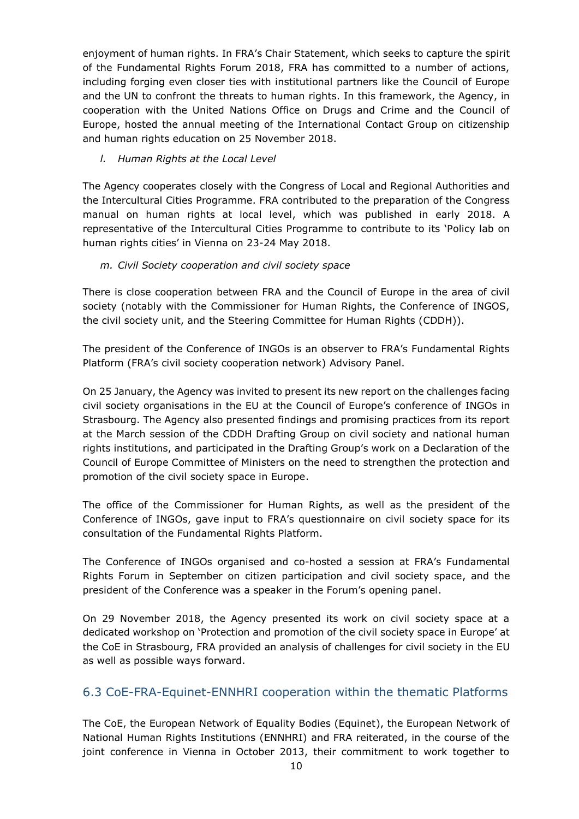enjoyment of human rights. In FRA's Chair Statement, which seeks to capture the spirit of the Fundamental Rights Forum 2018, FRA has committed to a number of actions, including forging even closer ties with institutional partners like the Council of Europe and the UN to confront the threats to human rights. In this framework, the Agency, in cooperation with the United Nations Office on Drugs and Crime and the Council of Europe, hosted the annual meeting of the International Contact Group on citizenship and human rights education on 25 November 2018.

#### <span id="page-12-0"></span>*l. Human Rights at the Local Level*

The Agency cooperates closely with the Congress of Local and Regional Authorities and the Intercultural Cities Programme. FRA contributed to the preparation of the Congress manual on human rights at local level, which was published in early 2018. A representative of the Intercultural Cities Programme to contribute to its 'Policy lab on human rights cities' in Vienna on 23-24 May 2018.

#### <span id="page-12-1"></span>*m. Civil Society cooperation and civil society space*

There is close cooperation between FRA and the Council of Europe in the area of civil society (notably with the Commissioner for Human Rights, the Conference of INGOS, the civil society unit, and the Steering Committee for Human Rights (CDDH)).

The president of the Conference of INGOs is an observer to FRA's Fundamental Rights Platform (FRA's civil society cooperation network) Advisory Panel.

On 25 January, the Agency was invited to present its new report on the challenges facing civil society organisations in the EU at the Council of Europe's conference of INGOs in Strasbourg. The Agency also presented findings and promising practices from its report at the March session of the CDDH Drafting Group on civil society and national human rights institutions, and participated in the Drafting Group's work on a Declaration of the Council of Europe Committee of Ministers on the need to strengthen the protection and promotion of the civil society space in Europe.

The office of the Commissioner for Human Rights, as well as the president of the Conference of INGOs, gave input to FRA's questionnaire on civil society space for its consultation of the Fundamental Rights Platform.

The Conference of INGOs organised and co-hosted a session at FRA's Fundamental Rights Forum in September on citizen participation and civil society space, and the president of the Conference was a speaker in the Forum's opening panel.

On 29 November 2018, the Agency presented its work on civil society space at a dedicated workshop on 'Protection and promotion of the civil society space in Europe' at the CoE in Strasbourg, FRA provided an analysis of challenges for civil society in the EU as well as possible ways forward.

## <span id="page-12-2"></span>6.3 CoE-FRA-Equinet-ENNHRI cooperation within the thematic Platforms

The CoE, the European Network of Equality Bodies (Equinet), the European Network of National Human Rights Institutions (ENNHRI) and FRA reiterated, in the course of the joint conference in Vienna in October 2013, their commitment to work together to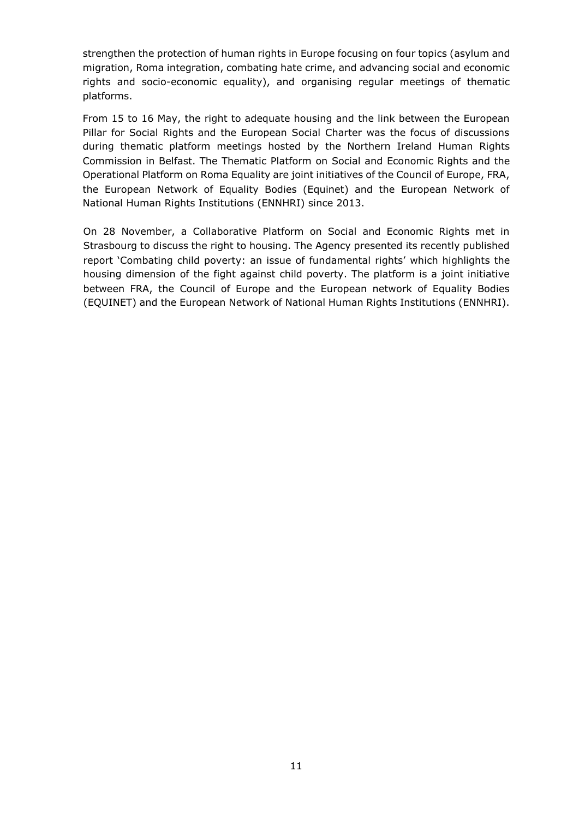strengthen the protection of human rights in Europe focusing on four topics (asylum and migration, Roma integration, combating hate crime, and advancing social and economic rights and socio-economic equality), and organising regular meetings of thematic platforms.

From 15 to 16 May, the right to adequate housing and the link between the European Pillar for Social Rights and the European Social Charter was the focus of discussions during thematic platform meetings hosted by the Northern Ireland Human Rights Commission in Belfast. The Thematic Platform on Social and Economic Rights and the Operational Platform on Roma Equality are joint initiatives of the Council of Europe, FRA, the European Network of Equality Bodies (Equinet) and the European Network of National Human Rights Institutions (ENNHRI) since 2013.

On 28 November, a Collaborative Platform on Social and Economic Rights met in Strasbourg to discuss the right to housing. The Agency presented its recently published report 'Combating child pov[erty: an issue of fundamental rights'](http://fra.europa.eu/en/publication/2018/child-poverty) which highlights the housing dimension of the fight against child poverty. The platform is a joint initiative between FRA, the Council of Europe and the European network of Equality Bodies (EQUINET) and the European Network of National Human Rights Institutions (ENNHRI).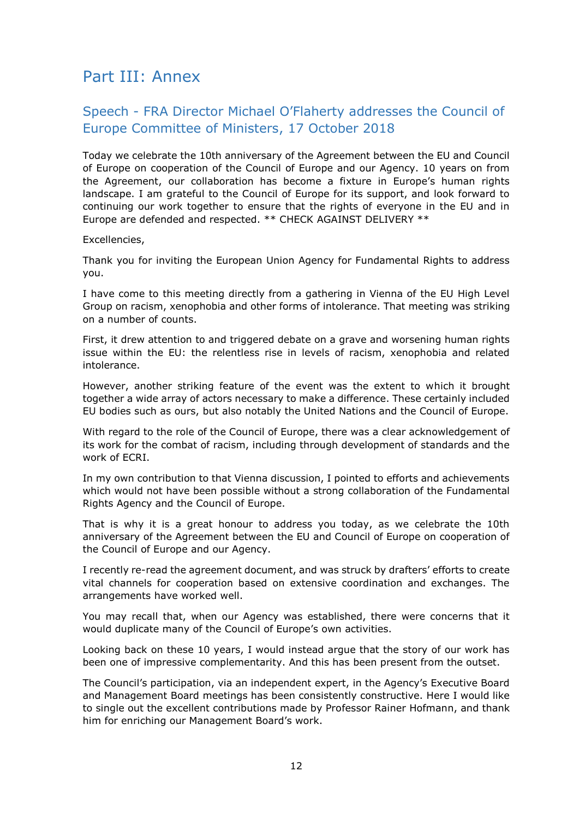## <span id="page-14-0"></span>Part III: Annex

## <span id="page-14-1"></span>Speech - FRA Director Michael O'Flaherty addresses the Council of Europe Committee of Ministers, 17 October 2018

Today we celebrate the 10th anniversary of the Agreement between the EU and Council of Europe on cooperation of the Council of Europe and our Agency. 10 years on from the Agreement, our collaboration has become a fixture in Europe's human rights landscape. I am grateful to the Council of Europe for its support, and look forward to continuing our work together to ensure that the rights of everyone in the EU and in Europe are defended and respected. \*\* CHECK AGAINST DELIVERY \*\*

Excellencies,

Thank you for inviting the European Union Agency for Fundamental Rights to address you.

I have come to this meeting directly from a gathering in Vienna of the EU High Level Group on racism, xenophobia and other forms of intolerance. That meeting was striking on a number of counts.

First, it drew attention to and triggered debate on a grave and worsening human rights issue within the EU: the relentless rise in levels of racism, xenophobia and related intolerance.

However, another striking feature of the event was the extent to which it brought together a wide array of actors necessary to make a difference. These certainly included EU bodies such as ours, but also notably the United Nations and the Council of Europe.

With regard to the role of the Council of Europe, there was a clear acknowledgement of its work for the combat of racism, including through development of standards and the work of ECRI.

In my own contribution to that Vienna discussion, I pointed to efforts and achievements which would not have been possible without a strong collaboration of the Fundamental Rights Agency and the Council of Europe.

That is why it is a great honour to address you today, as we celebrate the 10th anniversary of the Agreement between the EU and Council of Europe on cooperation of the Council of Europe and our Agency.

I recently re-read the agreement document, and was struck by drafters' efforts to create vital channels for cooperation based on extensive coordination and exchanges. The arrangements have worked well.

You may recall that, when our Agency was established, there were concerns that it would duplicate many of the Council of Europe's own activities.

Looking back on these 10 years, I would instead argue that the story of our work has been one of impressive complementarity. And this has been present from the outset.

The Council's participation, via an independent expert, in the Agency's Executive Board and Management Board meetings has been consistently constructive. Here I would like to single out the excellent contributions made by Professor Rainer Hofmann, and thank him for enriching our Management Board's work.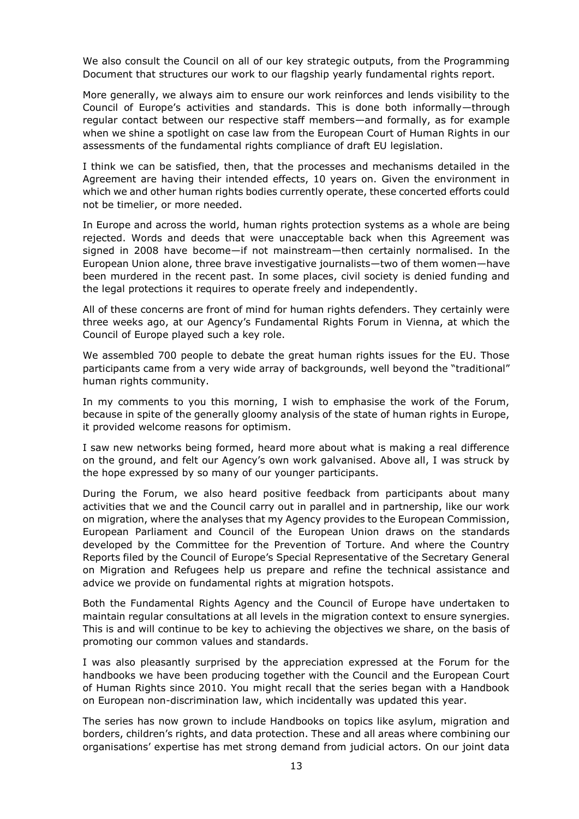We also consult the Council on all of our key strategic outputs, from the Programming Document that structures our work to our flagship yearly fundamental rights report.

More generally, we always aim to ensure our work reinforces and lends visibility to the Council of Europe's activities and standards. This is done both informally—through regular contact between our respective staff members—and formally, as for example when we shine a spotlight on case law from the European Court of Human Rights in our assessments of the fundamental rights compliance of draft EU legislation.

I think we can be satisfied, then, that the processes and mechanisms detailed in the Agreement are having their intended effects, 10 years on. Given the environment in which we and other human rights bodies currently operate, these concerted efforts could not be timelier, or more needed.

In Europe and across the world, human rights protection systems as a whole are being rejected. Words and deeds that were unacceptable back when this Agreement was signed in 2008 have become—if not mainstream—then certainly normalised. In the European Union alone, three brave investigative journalists—two of them women—have been murdered in the recent past. In some places, civil society is denied funding and the legal protections it requires to operate freely and independently.

All of these concerns are front of mind for human rights defenders. They certainly were three weeks ago, at our Agency's Fundamental Rights Forum in Vienna, at which the Council of Europe played such a key role.

We assembled 700 people to debate the great human rights issues for the EU. Those participants came from a very wide array of backgrounds, well beyond the "traditional" human rights community.

In my comments to you this morning, I wish to emphasise the work of the Forum, because in spite of the generally gloomy analysis of the state of human rights in Europe, it provided welcome reasons for optimism.

I saw new networks being formed, heard more about what is making a real difference on the ground, and felt our Agency's own work galvanised. Above all, I was struck by the hope expressed by so many of our younger participants.

During the Forum, we also heard positive feedback from participants about many activities that we and the Council carry out in parallel and in partnership, like our work on migration, where the analyses that my Agency provides to the European Commission, European Parliament and Council of the European Union draws on the standards developed by the Committee for the Prevention of Torture. And where the Country Reports filed by the Council of Europe's Special Representative of the Secretary General on Migration and Refugees help us prepare and refine the technical assistance and advice we provide on fundamental rights at migration hotspots.

Both the Fundamental Rights Agency and the Council of Europe have undertaken to maintain regular consultations at all levels in the migration context to ensure synergies. This is and will continue to be key to achieving the objectives we share, on the basis of promoting our common values and standards.

I was also pleasantly surprised by the appreciation expressed at the Forum for the handbooks we have been producing together with the Council and the European Court of Human Rights since 2010. You might recall that the series began with a Handbook on European non-discrimination law, which incidentally was updated this year.

The series has now grown to include Handbooks on topics like asylum, migration and borders, children's rights, and data protection. These and all areas where combining our organisations' expertise has met strong demand from judicial actors. On our joint data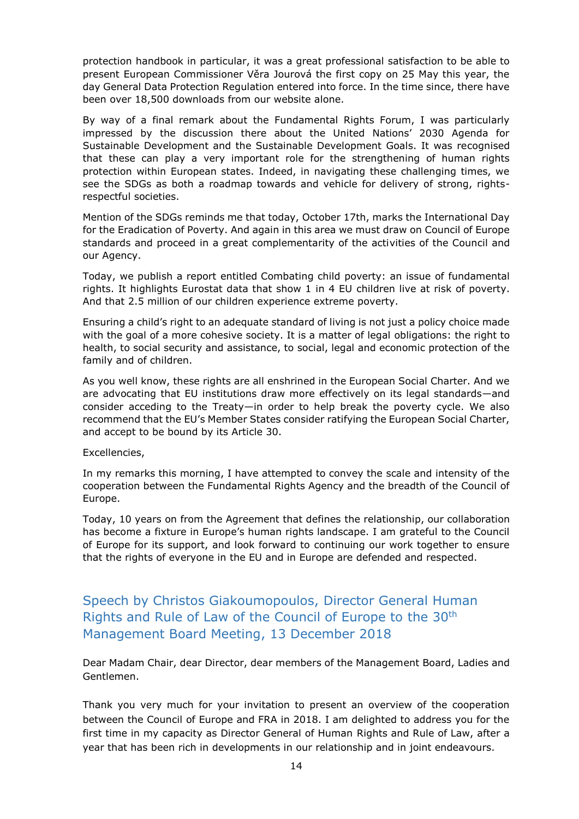protection handbook in particular, it was a great professional satisfaction to be able to present European Commissioner Věra Jourová the first copy on 25 May this year, the day General Data Protection Regulation entered into force. In the time since, there have been over 18,500 downloads from our website alone.

By way of a final remark about the Fundamental Rights Forum, I was particularly impressed by the discussion there about the United Nations' 2030 Agenda for Sustainable Development and the Sustainable Development Goals. It was recognised that these can play a very important role for the strengthening of human rights protection within European states. Indeed, in navigating these challenging times, we see the SDGs as both a roadmap towards and vehicle for delivery of strong, rightsrespectful societies.

Mention of the SDGs reminds me that today, October 17th, marks the International Day for the Eradication of Poverty. And again in this area we must draw on Council of Europe standards and proceed in a great complementarity of the activities of the Council and our Agency.

Today, we publish a report entitled [Combating child poverty: an issue of fundamental](http://fra.europa.eu/en/publication/2018/child-poverty)  [rights.](http://fra.europa.eu/en/publication/2018/child-poverty) It highlights Eurostat data that show 1 in 4 EU children live at risk of poverty. And that 2.5 million of our children experience extreme poverty.

Ensuring a child's right to an adequate standard of living is not just a policy choice made with the goal of a more cohesive society. It is a matter of legal obligations: the right to health, to social security and assistance, to social, legal and economic protection of the family and of children.

As you well know, these rights are all enshrined in the European Social Charter. And we are advocating that EU institutions draw more effectively on its legal standards—and consider acceding to the Treaty—in order to help break the poverty cycle. We also recommend that the EU's Member States consider ratifying the European Social Charter, and accept to be bound by its Article 30.

Excellencies,

In my remarks this morning, I have attempted to convey the scale and intensity of the cooperation between the Fundamental Rights Agency and the breadth of the Council of Europe.

Today, 10 years on from the Agreement that defines the relationship, our collaboration has become a fixture in Europe's human rights landscape. I am grateful to the Council of Europe for its support, and look forward to continuing our work together to ensure that the rights of everyone in the EU and in Europe are defended and respected.

<span id="page-16-0"></span>Speech by Christos Giakoumopoulos, Director General Human Rights and Rule of Law of the Council of Europe to the 30th Management Board Meeting, 13 December 2018

Dear Madam Chair, dear Director, dear members of the Management Board, Ladies and Gentlemen.

Thank you very much for your invitation to present an overview of the cooperation between the Council of Europe and FRA in 2018. I am delighted to address you for the first time in my capacity as Director General of Human Rights and Rule of Law, after a year that has been rich in developments in our relationship and in joint endeavours.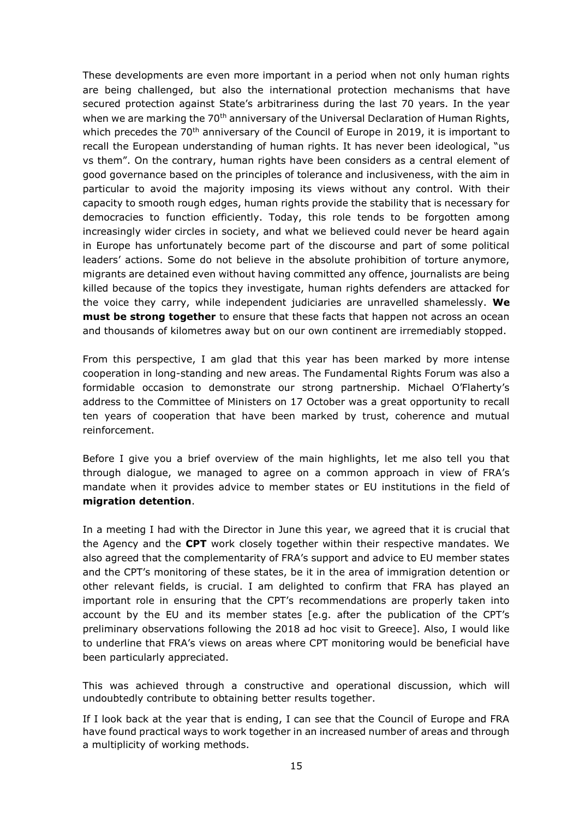These developments are even more important in a period when not only human rights are being challenged, but also the international protection mechanisms that have secured protection against State's arbitrariness during the last 70 years. In the year when we are marking the 70<sup>th</sup> anniversary of the Universal Declaration of Human Rights, which precedes the 70<sup>th</sup> anniversary of the Council of Europe in 2019, it is important to recall the European understanding of human rights. It has never been ideological, "us vs them". On the contrary, human rights have been considers as a central element of good governance based on the principles of tolerance and inclusiveness, with the aim in particular to avoid the majority imposing its views without any control. With their capacity to smooth rough edges, human rights provide the stability that is necessary for democracies to function efficiently. Today, this role tends to be forgotten among increasingly wider circles in society, and what we believed could never be heard again in Europe has unfortunately become part of the discourse and part of some political leaders' actions. Some do not believe in the absolute prohibition of torture anymore, migrants are detained even without having committed any offence, journalists are being killed because of the topics they investigate, human rights defenders are attacked for the voice they carry, while independent judiciaries are unravelled shamelessly. **We must be strong together** to ensure that these facts that happen not across an ocean and thousands of kilometres away but on our own continent are irremediably stopped.

From this perspective, I am glad that this year has been marked by more intense cooperation in long-standing and new areas. The Fundamental Rights Forum was also a formidable occasion to demonstrate our strong partnership. Michael O'Flaherty's address to the Committee of Ministers on 17 October was a great opportunity to recall ten years of cooperation that have been marked by trust, coherence and mutual reinforcement.

Before I give you a brief overview of the main highlights, let me also tell you that through dialogue, we managed to agree on a common approach in view of FRA's mandate when it provides advice to member states or EU institutions in the field of **migration detention**.

In a meeting I had with the Director in June this year, we agreed that it is crucial that the Agency and the **CPT** work closely together within their respective mandates. We also agreed that the complementarity of FRA's support and advice to EU member states and the CPT's monitoring of these states, be it in the area of immigration detention or other relevant fields, is crucial. I am delighted to confirm that FRA has played an important role in ensuring that the CPT's recommendations are properly taken into account by the EU and its member states [e.g. after the publication of the CPT's preliminary observations following the 2018 ad hoc visit to Greece]. Also, I would like to underline that FRA's views on areas where CPT monitoring would be beneficial have been particularly appreciated.

This was achieved through a constructive and operational discussion, which will undoubtedly contribute to obtaining better results together.

If I look back at the year that is ending, I can see that the Council of Europe and FRA have found practical ways to work together in an increased number of areas and through a multiplicity of working methods.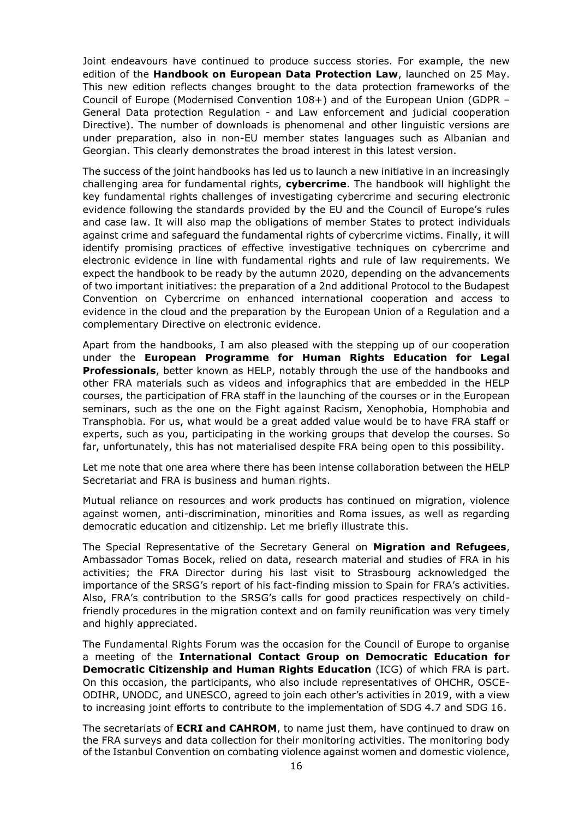Joint endeavours have continued to produce success stories. For example, the new edition of the **Handbook on European Data Protection Law**, launched on 25 May. This new edition reflects changes brought to the data protection frameworks of the Council of Europe (Modernised Convention 108+) and of the European Union (GDPR – General Data protection Regulation - and Law enforcement and judicial cooperation Directive). The number of downloads is phenomenal and other linguistic versions are under preparation, also in non-EU member states languages such as Albanian and Georgian. This clearly demonstrates the broad interest in this latest version.

The success of the joint handbooks has led us to launch a new initiative in an increasingly challenging area for fundamental rights, **cybercrime**. The handbook will highlight the key fundamental rights challenges of investigating cybercrime and securing electronic evidence following the standards provided by the EU and the Council of Europe's rules and case law. It will also map the obligations of member States to protect individuals against crime and safeguard the fundamental rights of cybercrime victims. Finally, it will identify promising practices of effective investigative techniques on cybercrime and electronic evidence in line with fundamental rights and rule of law requirements. We expect the handbook to be ready by the autumn 2020, depending on the advancements of two important initiatives: the preparation of a 2nd additional Protocol to the Budapest Convention on Cybercrime on enhanced international cooperation and access to evidence in the cloud and the preparation by the European Union of a Regulation and a complementary Directive on electronic evidence.

Apart from the handbooks, I am also pleased with the stepping up of our cooperation under the **European Programme for Human Rights Education for Legal Professionals**, better known as HELP, notably through the use of the handbooks and other FRA materials such as videos and infographics that are embedded in the HELP courses, the participation of FRA staff in the launching of the courses or in the European seminars, such as the one on the Fight against Racism, Xenophobia, Homphobia and Transphobia. For us, what would be a great added value would be to have FRA staff or experts, such as you, participating in the working groups that develop the courses. So far, unfortunately, this has not materialised despite FRA being open to this possibility.

Let me note that one area where there has been intense collaboration between the HELP Secretariat and FRA is business and human rights.

Mutual reliance on resources and work products has continued on migration, violence against women, anti-discrimination, minorities and Roma issues, as well as regarding democratic education and citizenship. Let me briefly illustrate this.

The Special Representative of the Secretary General on **Migration and Refugees**, Ambassador Tomas Bocek, relied on data, research material and studies of FRA in his activities; the FRA Director during his last visit to Strasbourg acknowledged the importance of the SRSG's report of his fact-finding mission to Spain for FRA's activities. Also, FRA's contribution to the SRSG's calls for good practices respectively on childfriendly procedures in the migration context and on family reunification was very timely and highly appreciated.

The Fundamental Rights Forum was the occasion for the Council of Europe to organise a meeting of the **International Contact Group on Democratic Education for Democratic Citizenship and Human Rights Education** (ICG) of which FRA is part. On this occasion, the participants, who also include representatives of OHCHR, OSCE-ODIHR, UNODC, and UNESCO, agreed to join each other's activities in 2019, with a view to increasing joint efforts to contribute to the implementation of SDG 4.7 and SDG 16.

The secretariats of **ECRI and CAHROM**, to name just them, have continued to draw on the FRA surveys and data collection for their monitoring activities. The monitoring body of the Istanbul Convention on combating violence against women and domestic violence,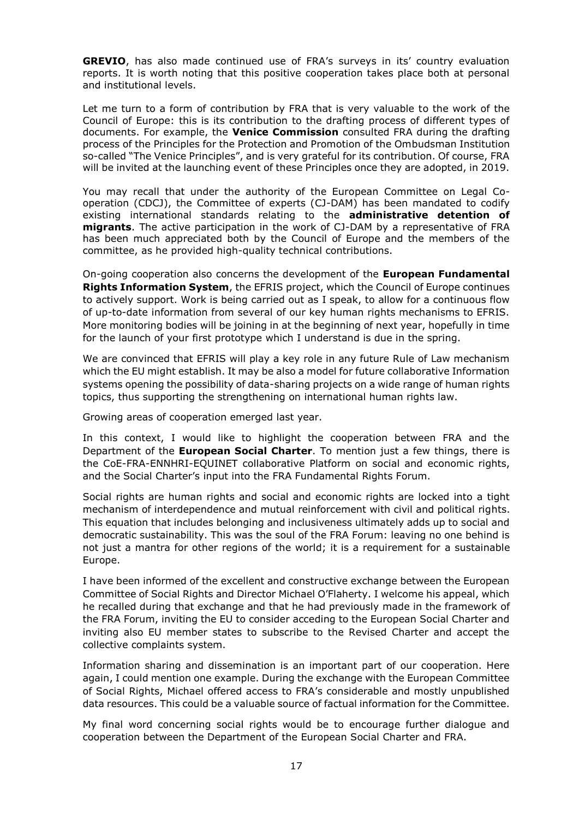**GREVIO**, has also made continued use of FRA's surveys in its' country evaluation reports. It is worth noting that this positive cooperation takes place both at personal and institutional levels.

Let me turn to a form of contribution by FRA that is very valuable to the work of the Council of Europe: this is its contribution to the drafting process of different types of documents. For example, the **Venice Commission** consulted FRA during the drafting process of the Principles for the Protection and Promotion of the Ombudsman Institution so-called "The Venice Principles", and is very grateful for its contribution. Of course, FRA will be invited at the launching event of these Principles once they are adopted, in 2019.

You may recall that under the authority of the European Committee on Legal Cooperation (CDCJ), the Committee of experts (CJ-DAM) has been mandated to codify existing international standards relating to the **administrative detention of migrants**. The active participation in the work of CJ-DAM by a representative of FRA has been much appreciated both by the Council of Europe and the members of the committee, as he provided high-quality technical contributions.

On-going cooperation also concerns the development of the **European Fundamental Rights Information System**, the EFRIS project, which the Council of Europe continues to actively support. Work is being carried out as I speak, to allow for a continuous flow of up-to-date information from several of our key human rights mechanisms to EFRIS. More monitoring bodies will be joining in at the beginning of next year, hopefully in time for the launch of your first prototype which I understand is due in the spring.

We are convinced that EFRIS will play a key role in any future Rule of Law mechanism which the EU might establish. It may be also a model for future collaborative Information systems opening the possibility of data-sharing projects on a wide range of human rights topics, thus supporting the strengthening on international human rights law.

Growing areas of cooperation emerged last year.

In this context, I would like to highlight the cooperation between FRA and the Department of the **European Social Charter**. To mention just a few things, there is the CoE-FRA-ENNHRI-EQUINET collaborative Platform on social and economic rights, and the Social Charter's input into the FRA Fundamental Rights Forum.

Social rights are human rights and social and economic rights are locked into a tight mechanism of interdependence and mutual reinforcement with civil and political rights. This equation that includes belonging and inclusiveness ultimately adds up to social and democratic sustainability. This was the soul of the FRA Forum: leaving no one behind is not just a mantra for other regions of the world; it is a requirement for a sustainable Europe.

I have been informed of the excellent and constructive exchange between the European Committee of Social Rights and Director Michael O'Flaherty. I welcome his appeal, which he recalled during that exchange and that he had previously made in the framework of the FRA Forum, inviting the EU to consider acceding to the European Social Charter and inviting also EU member states to subscribe to the Revised Charter and accept the collective complaints system.

Information sharing and dissemination is an important part of our cooperation. Here again, I could mention one example. During the exchange with the European Committee of Social Rights, Michael offered access to FRA's considerable and mostly unpublished data resources. This could be a valuable source of factual information for the Committee.

My final word concerning social rights would be to encourage further dialogue and cooperation between the Department of the European Social Charter and FRA.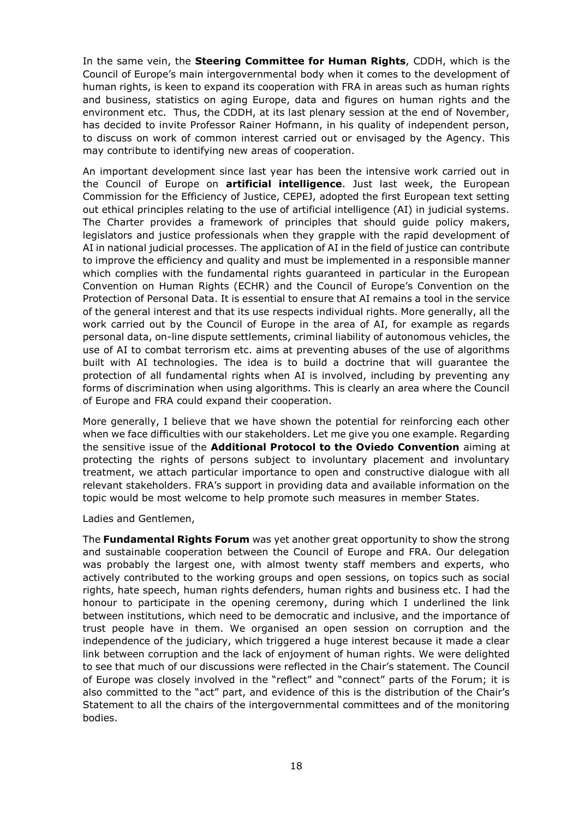In the same vein, the **Steering Committee for Human Rights**, CDDH, which is the Council of Europe's main intergovernmental body when it comes to the development of human rights, is keen to expand its cooperation with FRA in areas such as human rights and business, statistics on aging Europe, data and figures on human rights and the environment etc. Thus, the CDDH, at its last plenary session at the end of November, has decided to invite Professor Rainer Hofmann, in his quality of independent person, to discuss on work of common interest carried out or envisaged by the Agency. This may contribute to identifying new areas of cooperation.

An important development since last year has been the intensive work carried out in the Council of Europe on **artificial intelligence**. Just last week, the European Commission for the Efficiency of Justice, CEPEJ, adopted the first European text setting out ethical principles relating to the use of artificial intelligence (AI) in judicial systems. The Charter provides a framework of principles that should guide policy makers, legislators and justice professionals when they grapple with the rapid development of AI in national judicial processes. The application of AI in the field of justice can contribute to improve the efficiency and quality and must be implemented in a responsible manner which complies with the fundamental rights guaranteed in particular in the European Convention on Human Rights (ECHR) and the Council of Europe's Convention on the Protection of Personal Data. It is essential to ensure that AI remains a tool in the service of the general interest and that its use respects individual rights. More generally, all the work carried out by the Council of Europe in the area of AI, for example as regards personal data, on-line dispute settlements, criminal liability of autonomous vehicles, the use of AI to combat terrorism etc. aims at preventing abuses of the use of algorithms built with AI technologies. The idea is to build a doctrine that will guarantee the protection of all fundamental rights when AI is involved, including by preventing any forms of discrimination when using algorithms. This is clearly an area where the Council of Europe and FRA could expand their cooperation.

More generally, I believe that we have shown the potential for reinforcing each other when we face difficulties with our stakeholders. Let me give you one example. Regarding the sensitive issue of the **Additional Protocol to the Oviedo Convention** aiming at protecting the rights of persons subject to involuntary placement and involuntary treatment, we attach particular importance to open and constructive dialogue with all relevant stakeholders. FRA's support in providing data and available information on the topic would be most welcome to help promote such measures in member States.

#### Ladies and Gentlemen,

The **Fundamental Rights Forum** was yet another great opportunity to show the strong and sustainable cooperation between the Council of Europe and FRA. Our delegation was probably the largest one, with almost twenty staff members and experts, who actively contributed to the working groups and open sessions, on topics such as social rights, hate speech, human rights defenders, human rights and business etc. I had the honour to participate in the opening ceremony, during which I underlined the link between institutions, which need to be democratic and inclusive, and the importance of trust people have in them. We organised an open session on corruption and the independence of the judiciary, which triggered a huge interest because it made a clear link between corruption and the lack of enjoyment of human rights. We were delighted to see that much of our discussions were reflected in the Chair's statement. The Council of Europe was closely involved in the "reflect" and "connect" parts of the Forum; it is also committed to the "act" part, and evidence of this is the distribution of the Chair's Statement to all the chairs of the intergovernmental committees and of the monitoring bodies.